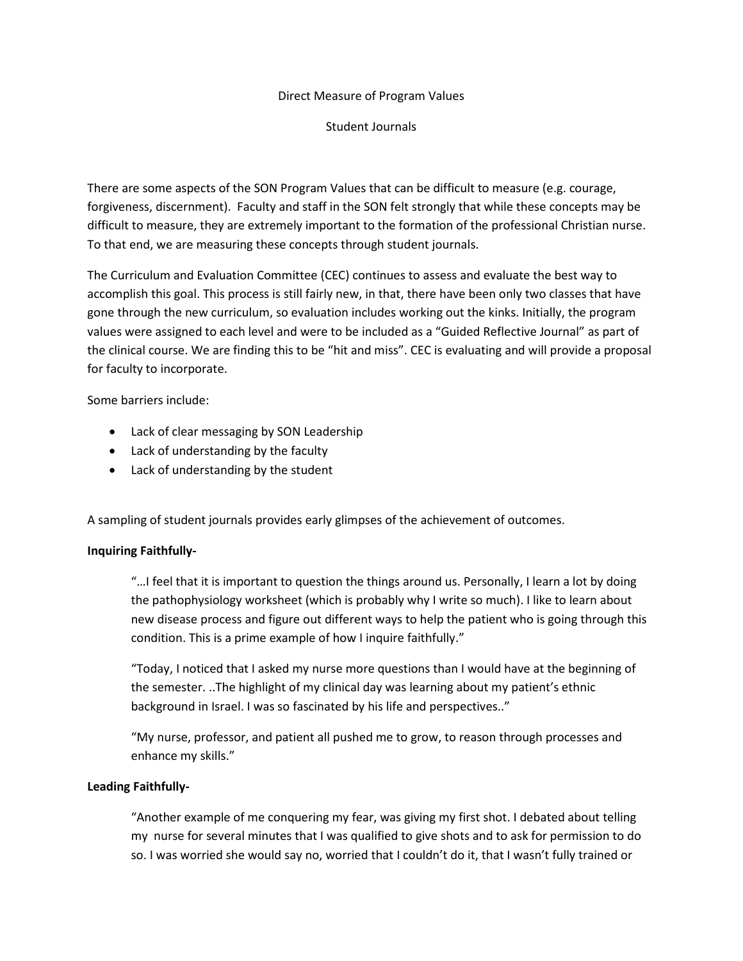## Direct Measure of Program Values

Student Journals

There are some aspects of the SON Program Values that can be difficult to measure (e.g. courage, forgiveness, discernment). Faculty and staff in the SON felt strongly that while these concepts may be difficult to measure, they are extremely important to the formation of the professional Christian nurse. To that end, we are measuring these concepts through student journals.

The Curriculum and Evaluation Committee (CEC) continues to assess and evaluate the best way to accomplish this goal. This process is still fairly new, in that, there have been only two classes that have gone through the new curriculum, so evaluation includes working out the kinks. Initially, the program values were assigned to each level and were to be included as a "Guided Reflective Journal" as part of the clinical course. We are finding this to be "hit and miss". CEC is evaluating and will provide a proposal for faculty to incorporate.

Some barriers include:

- Lack of clear messaging by SON Leadership
- Lack of understanding by the faculty
- Lack of understanding by the student

A sampling of student journals provides early glimpses of the achievement of outcomes.

# **Inquiring Faithfully-**

"…I feel that it is important to question the things around us. Personally, I learn a lot by doing the pathophysiology worksheet (which is probably why I write so much). I like to learn about new disease process and figure out different ways to help the patient who is going through this condition. This is a prime example of how I inquire faithfully."

"Today, I noticed that I asked my nurse more questions than I would have at the beginning of the semester. ..The highlight of my clinical day was learning about my patient's ethnic background in Israel. I was so fascinated by his life and perspectives.."

"My nurse, professor, and patient all pushed me to grow, to reason through processes and enhance my skills."

# **Leading Faithfully-**

"Another example of me conquering my fear, was giving my first shot. I debated about telling my nurse for several minutes that I was qualified to give shots and to ask for permission to do so. I was worried she would say no, worried that I couldn't do it, that I wasn't fully trained or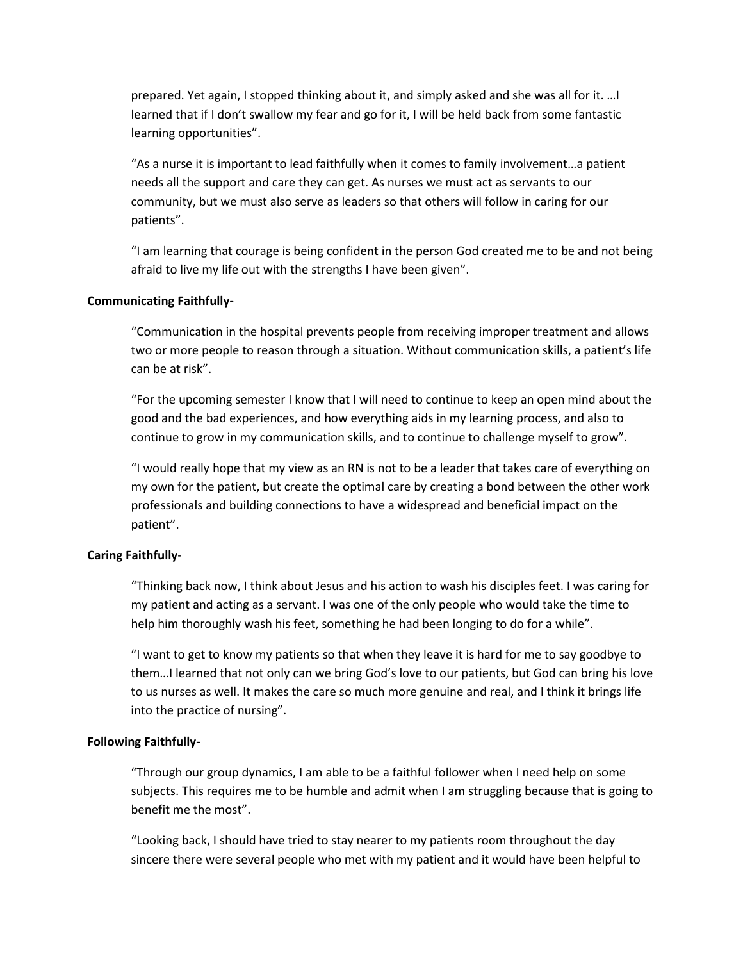prepared. Yet again, I stopped thinking about it, and simply asked and she was all for it. …I learned that if I don't swallow my fear and go for it, I will be held back from some fantastic learning opportunities".

"As a nurse it is important to lead faithfully when it comes to family involvement…a patient needs all the support and care they can get. As nurses we must act as servants to our community, but we must also serve as leaders so that others will follow in caring for our patients".

"I am learning that courage is being confident in the person God created me to be and not being afraid to live my life out with the strengths I have been given".

## **Communicating Faithfully-**

"Communication in the hospital prevents people from receiving improper treatment and allows two or more people to reason through a situation. Without communication skills, a patient's life can be at risk".

"For the upcoming semester I know that I will need to continue to keep an open mind about the good and the bad experiences, and how everything aids in my learning process, and also to continue to grow in my communication skills, and to continue to challenge myself to grow".

"I would really hope that my view as an RN is not to be a leader that takes care of everything on my own for the patient, but create the optimal care by creating a bond between the other work professionals and building connections to have a widespread and beneficial impact on the patient".

### **Caring Faithfully**-

"Thinking back now, I think about Jesus and his action to wash his disciples feet. I was caring for my patient and acting as a servant. I was one of the only people who would take the time to help him thoroughly wash his feet, something he had been longing to do for a while".

"I want to get to know my patients so that when they leave it is hard for me to say goodbye to them…I learned that not only can we bring God's love to our patients, but God can bring his love to us nurses as well. It makes the care so much more genuine and real, and I think it brings life into the practice of nursing".

### **Following Faithfully-**

"Through our group dynamics, I am able to be a faithful follower when I need help on some subjects. This requires me to be humble and admit when I am struggling because that is going to benefit me the most".

"Looking back, I should have tried to stay nearer to my patients room throughout the day sincere there were several people who met with my patient and it would have been helpful to